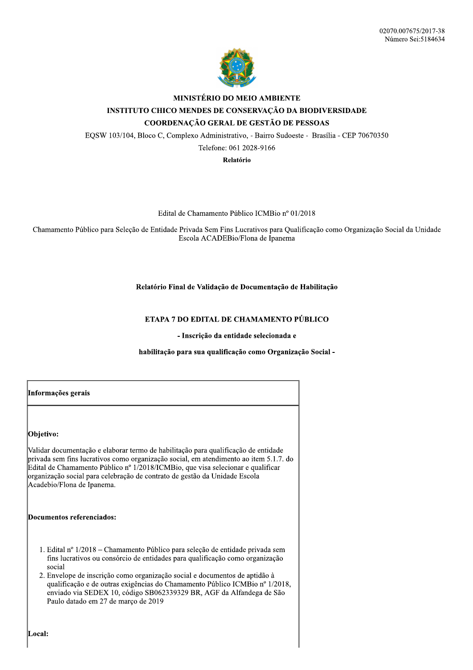

# **MINISTÉRIO DO MEIO AMBIENTE** INSTITUTO CHICO MENDES DE CONSERVAÇÃO DA BIODIVERSIDADE COORDENAÇÃO GERAL DE GESTÃO DE PESSOAS

EQSW 103/104, Bloco C, Complexo Administrativo, - Bairro Sudoeste - Brasília - CEP 70670350

Telefone: 061 2028-9166

Relatório

Edital de Chamamento Público ICMBio nº 01/2018

Chamamento Público para Seleção de Entidade Privada Sem Fins Lucrativos para Qualificação como Organização Social da Unidade Escola ACADEBio/Flona de Ipanema

## Relatório Final de Validação de Documentação de Habilitação

## ETAPA 7 DO EDITAL DE CHAMAMENTO PÚBLICO

- Inscrição da entidade selecionada e

habilitação para sua qualificação como Organização Social -

#### Informações gerais

## Objetivo:

Validar documentação e elaborar termo de habilitação para qualificação de entidade privada sem fins lucrativos como organização social, em atendimento ao item 5.1.7. do Edital de Chamamento Público nº 1/2018/ICMBio, que visa selecionar e qualificar organização social para celebração de contrato de gestão da Unidade Escola Acadebio/Flona de Ipanema.

#### Documentos referenciados:

- 1. Edital nº 1/2018 Chamamento Público para seleção de entidade privada sem fins lucrativos ou consórcio de entidades para qualificação como organização social
- 2. Envelope de inscrição como organização social e documentos de aptidão à qualificação e de outras exigências do Chamamento Público ICMBio nº 1/2018, enviado via SEDEX 10, código SB062339329 BR, AGF da Alfandega de São Paulo datado em 27 de março de 2019

Local: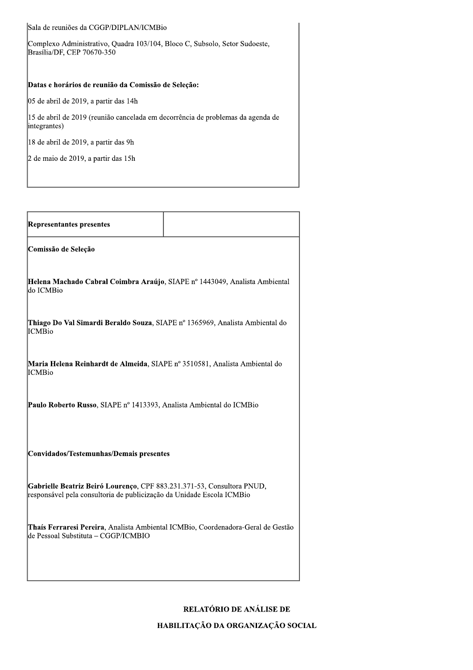Sala de reuniões da CGGP/DIPLAN/ICMBio Complexo Administrativo, Quadra 103/104, Bloco C, Subsolo, Setor Sudoeste, Brasília/DF, CEP 70670-350 Datas e horários de reunião da Comissão de Seleção: 05 de abril de 2019, a partir das 14h 15 de abril de 2019 (reunião cancelada em decorrência de problemas da agenda de integrantes) 18 de abril de 2019, a partir das 9h 2 de maio de 2019, a partir das 15h

| <b>Representantes presentes</b>                                                                                                                 |  |  |
|-------------------------------------------------------------------------------------------------------------------------------------------------|--|--|
| Comissão de Seleção                                                                                                                             |  |  |
| Helena Machado Cabral Coimbra Araújo, SIAPE nº 1443049, Analista Ambiental<br>do ICMBio                                                         |  |  |
| Thiago Do Val Simardi Beraldo Souza, SIAPE nº 1365969, Analista Ambiental do<br>IICMBio                                                         |  |  |
| Maria Helena Reinhardt de Almeida, SIAPE nº 3510581, Analista Ambiental do<br><b>ICMBio</b>                                                     |  |  |
| Paulo Roberto Russo, SIAPE nº 1413393, Analista Ambiental do ICMBio                                                                             |  |  |
| Convidados/Testemunhas/Demais presentes                                                                                                         |  |  |
| Gabrielle Beatriz Beiró Lourenço, CPF 883.231.371-53, Consultora PNUD,<br>responsável pela consultoria de publicização da Unidade Escola ICMBio |  |  |
| Thaís Ferraresi Pereira, Analista Ambiental ICMBio, Coordenadora-Geral de Gestão<br>de Pessoal Substituta – CGGP/ICMBIO                         |  |  |
|                                                                                                                                                 |  |  |

RELATÓRIO DE ANÁLISE DE

HABILITAÇÃO DA ORGANIZAÇÃO SOCIAL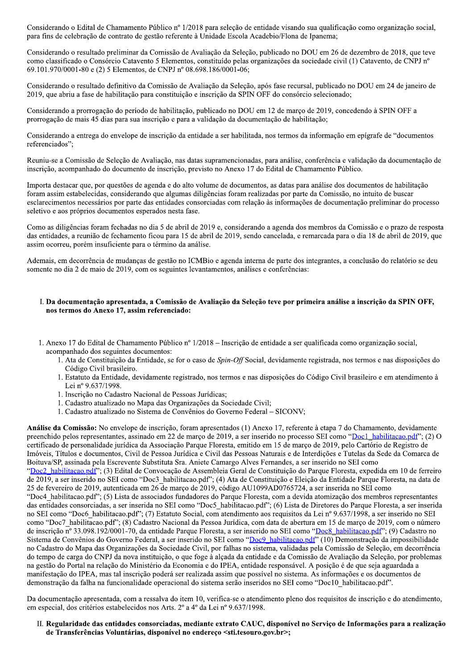Considerando o Edital de Chamamento Público nº 1/2018 para seleção de entidade visando sua qualificação como organização social, para fins de celebração de contrato de gestão referente à Unidade Escola Acadebio/Flona de Ipanema;

Considerando o resultado preliminar da Comissão de Avaliação da Seleção, publicado no DOU em 26 de dezembro de 2018, que teve como classificado o Consórcio Catavento 5 Elementos, constituído pelas organizações da sociedade civil (1) Catavento, de CNPJ nº 69.101.970/0001-80 e (2) 5 Elementos, de CNPJ nº 08.698.186/0001-06;

Considerando o resultado definitivo da Comissão de Avaliação da Seleção, após fase recursal, publicado no DOU em 24 de janeiro de 2019, que abriu a fase de habilitação para constituição e inscrição da SPIN OFF do consórcio selecionado;

Considerando a prorrogação do período de habilitação, publicado no DOU em 12 de março de 2019, concedendo à SPIN OFF a prorrogação de mais 45 dias para sua inscrição e para a validação da documentação de habilitação;

Considerando a entrega do envelope de inscrição da entidade a ser habilitada, nos termos da informação em epígrafe de "documentos" referenciados";

Reuniu-se a Comissão de Seleção de Avaliação, nas datas supramencionadas, para análise, conferência e validação da documentação de inscrição, acompanhado do documento de inscrição, previsto no Anexo 17 do Edital de Chamamento Público.

Importa destacar que, por questões de agenda e do alto volume de documentos, as datas para análise dos documentos de habilitação foram assim estabelecidas, considerando que algumas diligências foram realizadas por parte da Comissão, no intuito de buscar esclarecimentos necessários por parte das entidades consorciadas com relação às informações de documentação preliminar do processo seletivo e aos próprios documentos esperados nesta fase.

Como as diligências foram fechadas no dia 5 de abril de 2019 e, considerando a agenda dos membros da Comissão e o prazo de resposta das entidades, a reunião de fechamento ficou para 15 de abril de 2019, sendo cancelada, e remarcada para o dia 18 de abril de 2019, que assim ocorreu, porém insuficiente para o término da análise.

Ademais, em decorrência de mudanças de gestão no ICMBio e agenda interna de parte dos integrantes, a conclusão do relatório se deu somente no dia 2 de maio de 2019, com os seguintes levantamentos, análises e conferências:

## I. Da documentação apresentada, a Comissão de Avaliação da Seleção teve por primeira análise a inscrição da SPIN OFF. nos termos do Anexo 17, assim referenciado:

- 1. Anexo 17 do Edital de Chamamento Público nº 1/2018 Inscrição de entidade a ser qualificada como organização social, acompanhado dos seguintes documentos:
	- 1. Ata de Constituição da Entidade, se for o caso de Spin-Off Social, devidamente registrada, nos termos e nas disposições do Código Civil brasileiro.
	- 1. Estatuto da Entidade, devidamente registrado, nos termos e nas disposições do Código Civil brasileiro e em atendimento à Lei nº 9.637/1998.
	- 1. Inscrição no Cadastro Nacional de Pessoas Jurídicas;
	- 1. Cadastro atualizado no Mapa das Organizações da Sociedade Civil;
	- 1. Cadastro atualizado no Sistema de Convênios do Governo Federal SICONV;

Análise da Comissão: No envelope de inscrição, foram apresentados (1) Anexo 17, referente à etapa 7 do Chamamento, devidamente preenchido pelos representantes, assinado em 22 de março de 2019, a ser inserido no processo SEI como "Doc1 habilitacao.pdf"; (2) O certificado de personalidade jurídica da Associação Parque Floresta, emitido em 15 de março de 2019, pelo Cartório de Registro de Imóveis, Títulos e documentos, Civil de Pessoa Jurídica e Civil das Pessoas Naturais e de Interdições e Tutelas da Sede da Comarca de Boituva/SP, assinada pela Escrevente Substituta Sra. Aniete Camargo Alves Fernandes, a ser inserido no SEI como "Doc2 habilitacao.pdf"; (3) Edital de Convocação de Assembleia Geral de Constituição do Parque Floresta, expedida em 10 de ferreiro de 2019, a ser inserido no SEI como "Doc3 habilitacao.pdf"; (4) Ata de Constituição e Eleição da Entidade Parque Floresta, na data de 25 de fevereiro de 2019, autenticada em 26 de março de 2019, código AU1099AD0765724, a ser inserida no SEI como "Doc4 habilitacao.pdf"; (5) Lista de associados fundadores do Parque Floresta, com a devida atomização dos membros representantes das entidades consorciadas, a ser inserida no SEI como "Doc5\_habilitacao.pdf"; (6) Lista de Diretores do Parque Floresta, a ser inserida no SEI como "Doc6 habilitacao.pdf"; (7) Estatuto Social, com atendimento aos requisitos da Lei nº 9.637/1998, a ser inserido no SEI como "Doc7 habilitacao.pdf"; (8) Cadastro Nacional da Pessoa Jurídica, com data de abertura em 15 de março de 2019, com o número de inscrição nº 33.098.192/0001-70, da entidade Parque Floresta, a ser inserido no SEI como "Doc8\_habilitacao.pdf"; (9) Cadastro no Sistema de Convênios do Governo Federal, a ser inserido no SEI como "Doc9 habilitacao.pdf" (10) Demonstração da impossibilidade no Cadastro do Mapa das Organizações da Sociedade Civil, por falhas no sistema, validadas pela Comissão de Seleção, em decorrência do tempo de carga do CNPJ da nova instituição, o que foge à alçada da entidade e da Comissão de Avaliação da Seleção, por problemas na gestão do Portal na relação do Ministério da Economia e do IPEA, entidade responsável. A posição é de que seja aguardada a manifestação do IPEA, mas tal inscrição poderá ser realizada assim que possível no sistema. As informações e os documentos de demonstração da falha na funcionalidade operacional do sistema serão inseridos no SEI como "Doc10 habilitacao.pdf".

Da documentação apresentada, com a ressalva do item 10, verifica-se o atendimento pleno dos requisitos de inscrição e do atendimento, em especial, dos critérios estabelecidos nos Arts. 2º a 4º da Lei nº 9.637/1998.

#### II. Regularidade das entidades consorciadas, mediante extrato CAUC, disponível no Servico de Informações para a realização de Transferências Voluntárias, disponível no endereco <sti.tesouro.gov.br>;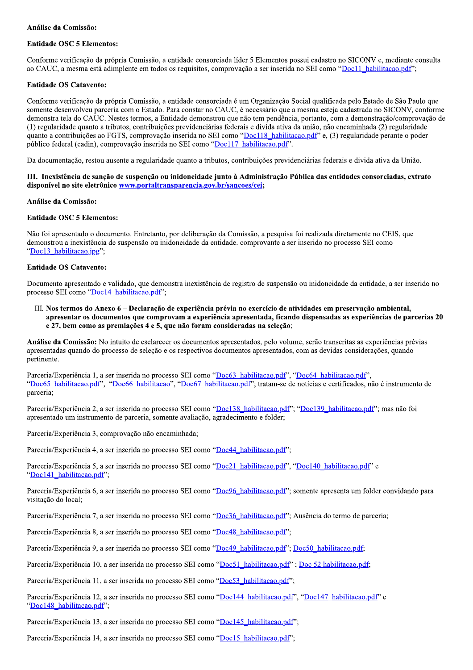#### Análise da Comissão:

## **Entidade OSC 5 Elementos:**

Conforme verificação da própria Comissão, a entidade consorciada líder 5 Elementos possui cadastro no SICONV e, mediante consulta ao CAUC, a mesma está adimplente em todos os requisitos, comprovação a ser inserida no SEI como "Doc11 habilitacao.pdf";

## **Entidade OS Catavento:**

Conforme verificação da própria Comissão, a entidade consorciada é um Organização Social qualificada pelo Estado de São Paulo que somente desenvolveu parceria com o Estado. Para constar no CAUC, é necessário que a mesma esteja cadastrada no SICONV, conforme demonstra tela do CAUC. Nestes termos, a Entidade demonstrou que não tem pendência, portanto, com a demonstração/comprovação de (1) regularidade quanto a tributos, contribuições previdenciárias federais e divida ativa da união, não encaminhada (2) regularidade quanto a contribuições ao FGTS, comprovação inserida no SEI como "Doc118 habilitacao, pdf" e, (3) regularidade perante o poder público federal (cadin), comprovação inserida no SEI como "Doc117 habilitacao.pdf".

Da documentação, restou ausente a regularidade quanto a tributos, contribuições previdenciárias federais e divida ativa da União.

III. Inexistência de sanção de suspenção ou inidoneidade junto à Administração Pública das entidades consorciadas, extrato disponível no site eletrônico www.portaltransparencia.gov.br/sancoes/cei;

#### Análise da Comissão:

## **Entidade OSC 5 Elementos:**

Não foi apresentado o documento. Entretanto, por deliberação da Comissão, a pesquisa foi realizada diretamente no CEIS, que demonstrou a inexistência de suspensão ou inidoneidade da entidade. comprovante a ser inserido no processo SEI como "Doc13 habilitacao.jpg";

## **Entidade OS Catavento:**

Documento apresentado e validado, que demonstra inexistência de registro de suspensão ou inidoneidade da entidade, a ser inserido no processo SEI como "Doc14 habilitacao.pdf";

## III. Nos termos do Anexo 6 – Declaração de experiência prévia no exercício de atividades em preservação ambiental, apresentar os documentos que comprovam a experiência apresentada, ficando dispensadas as experiências de parcerias 20 e 27, bem como as premiações 4 e 5, que não foram consideradas na seleção;

Análise da Comissão: No intuito de esclarecer os documentos apresentados, pelo volume, serão transcritas as experiências prévias apresentadas quando do processo de seleção e os respectivos documentos apresentados, com as devidas considerações, quando pertinente.

Parceria/Experiência 1, a ser inserida no processo SEI como "Doc63 habilitacao.pdf", "Doc64 habilitacao.pdf" "Doc65 habilitacao.pdf", "Doc66 habilitacao", "Doc67 habilitacao.pdf"; tratam-se de notícias e certificados, não é instrumento de parceria;

Parceria/Experiência 2, a ser inserida no processo SEI como "Doc138 habilitacao.pdf"; "Doc139 habilitacao.pdf"; mas não foi apresentado um instrumento de parceria, somente avaliação, agradecimento e folder;

Parceria/Experiência 3, comprovação não encaminhada:

Parceria/Experiência 4, a ser inserida no processo SEI como "Doc44 habilitacao.pdf";

Parceria/Experiência 5, a ser inserida no processo SEI como "Doc21 habilitacao.pdf", "Doc140 habilitacao.pdf" e "Doc141 habilitacao.pdf";

Parceria/Experiência 6, a ser inserida no processo SEI como "Doc96 habilitacao.pdf"; somente apresenta um folder convidando para visitação do local;

Parceria/Experiência 7, a ser inserida no processo SEI como "Doc36 habilitacao.pdf"; Ausência do termo de parceria;

Parceria/Experiência 8, a ser inserida no processo SEI como "Doc48 habilitacao.pdf";

Parceria/Experiência 9, a ser inserida no processo SEI como "Doc49 habilitacao.pdf"; Doc50 habilitacao.pdf;

Parceria/Experiência 10, a ser inserida no processo SEI como "Doc51 habilitacao.pdf"; Doc 52 habilitacao.pdf;

Parceria/Experiência 11, a ser inserida no processo SEI como "Doc53 habilitacao.pdf";

Parceria/Experiência 12, a ser inserida no processo SEI como "Doc144 habilitacao.pdf", "Doc147 habilitacao.pdf" e "Doc148 habilitacao.pdf":

Parceria/Experiência 13, a ser inserida no processo SEI como "Doc145 habilitacao.pdf";

Parceria/Experiência 14, a ser inserida no processo SEI como "Doc15 habilitacao.pdf";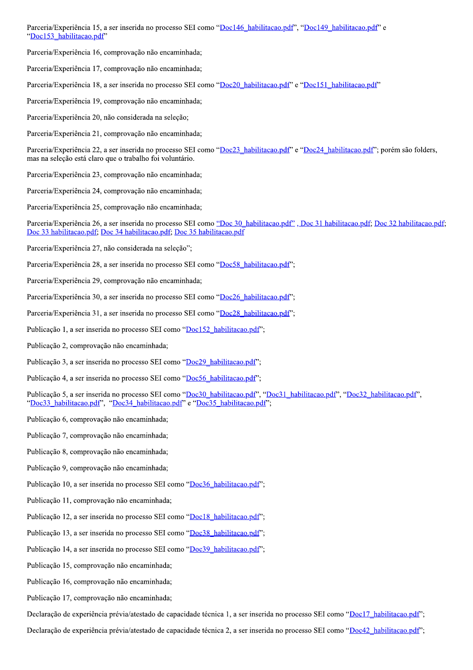Parceria/Experiência 15, a ser inserida no processo SEI como "Doc146 habilitacao.pdf", "Doc149 habilitacao.pdf" e "Doc153 habilitacao.pdf"

Parceria/Experiência 16, comprovação não encaminhada;

Parceria/Experiência 17, comprovação não encaminhada;

Parceria/Experiência 18, a ser inserida no processo SEI como "Doc20 habilitacao.pdf" e "Doc151 habilitacao.pdf"

Parceria/Experiência 19, comprovação não encaminhada;

Parceria/Experiência 20, não considerada na seleção;

Parceria/Experiência 21, comprovação não encaminhada;

Parceria/Experiência 22, a ser inserida no processo SEI como "Doc23 habilitacao.pdf" e "Doc24 habilitacao.pdf"; porém são folders, mas na seleção está claro que o trabalho foi voluntário.

Parceria/Experiência 23, comprovação não encaminhada;

Parceria/Experiência 24, comprovação não encaminhada;

Parceria/Experiência 25, comprovação não encaminhada;

Parceria/Experiência 26, a ser inserida no processo SEI como "Doc 30 habilitacao.pdf", Doc 31 habilitacao.pdf: Doc 32 habilitacao.pdf: Doc 33 habilitacao.pdf; Doc 34 habilitacao.pdf; Doc 35 habilitacao.pdf

Parceria/Experiência 27, não considerada na seleção";

Parceria/Experiência 28, a ser inserida no processo SEI como "Doc58 habilitacao.pdf";

Parceria/Experiência 29, comprovação não encaminhada;

Parceria/Experiência 30, a ser inserida no processo SEI como "Doc26 habilitacao.pdf";

Parceria/Experiência 31, a ser inserida no processo SEI como "Doc28 habilitacao.pdf";

Publicação 1, a ser inserida no processo SEI como "Doc152 habilitacao.pdf";

Publicação 2, comprovação não encaminhada;

Publicação 3, a ser inserida no processo SEI como "Doc29 habilitacao.pdf";

Publicação 4, a ser inserida no processo SEI como "Doc56 habilitacao.pdf";

Publicação 5, a ser inserida no processo SEI como "Doc30\_habilitacao.pdf", "Doc31\_habilitacao.pdf", "Doc32\_habilitacao.pdf", "Doc33 habilitacao.pdf", "Doc34 habilitacao.pdf" e "Doc35 habilitacao.pdf";

Publicação 6, comprovação não encaminhada;

Publicação 7, comprovação não encaminhada;

Publicação 8, comprovação não encaminhada;

Publicação 9, comprovação não encaminhada;

Publicação 10, a ser inserida no processo SEI como "Doc36 habilitacao.pdf";

Publicação 11, comprovação não encaminhada;

Publicação 12, a ser inserida no processo SEI como "Doc18 habilitacao.pdf";

Publicação 13, a ser inserida no processo SEI como "Doc38 habilitacao.pdf";

Publicação 14, a ser inserida no processo SEI como "Doc39 habilitacao.pdf";

Publicação 15, comprovação não encaminhada;

Publicação 16, comprovação não encaminhada;

Publicação 17, comprovação não encaminhada;

Declaração de experiência prévia/atestado de capacidade técnica 1, a ser inserida no processo SEI como "Doc17 habilitacao.pdf";

Declaração de experiência prévia/atestado de capacidade técnica 2, a ser inserida no processo SEI como "Doc42 habilitacao.pdf";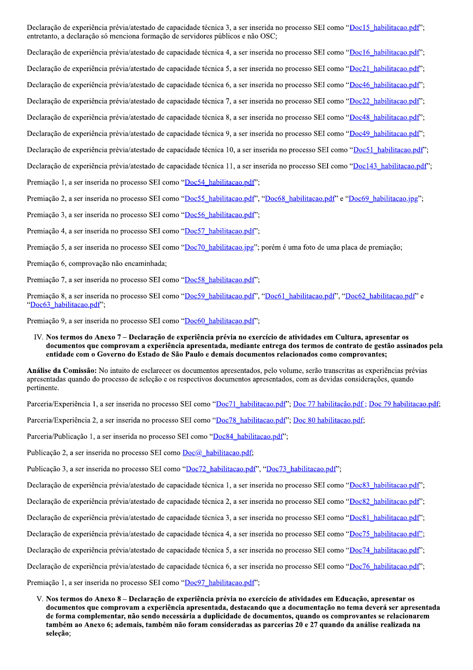Declaração de experiência prévia/atestado de capacidade técnica 3, a ser inserida no processo SEI como "Doc15 habilitacao.pdf"; entretanto, a declaração só menciona formação de servidores públicos e não OSC;

Declaração de experiência prévia/atestado de capacidade técnica 4, a ser inserida no processo SEI como "Doc16 habilitacao.pdf"; Declaração de experiência prévia/atestado de capacidade técnica 5, a ser inserida no processo SEI como "Doc21 habilitacao.pdf"; Declaração de experiência prévia/atestado de capacidade técnica 6, a ser inserida no processo SEI como "Doc46 habilitacao.pdf"; Declaração de experiência prévia/atestado de capacidade técnica 7, a ser inserida no processo SEI como "Doc22 habilitacao.pdf"; Declaração de experiência prévia/atestado de capacidade técnica 8, a ser inserida no processo SEI como "Doc48 habilitacao.pdf"; Declaração de experiência prévia/atestado de capacidade técnica 9, a ser inserida no processo SEI como "Doc49 habilitacao.pdf"; Declaração de experiência prévia/atestado de capacidade técnica 10, a ser inserida no processo SEI como "Doc51 habilitacao.pdf";

Declaração de experiência prévia/atestado de capacidade técnica 11, a ser inserida no processo SEI como "Doc143 habilitacao.pdf";

Premiação 1, a ser inserida no processo SEI como "Doc54 habilitacao.pdf";

Premiação 2, a ser inserida no processo SEI como "Doc55 habilitacao.pdf", "Doc68 habilitacao.pdf" e "Doc69 habilitacao.jpg";

Premiação 3, a ser inserida no processo SEI como "Doc56 habilitacao.pdf";

Premiação 4, a ser inserida no processo SEI como "Doc57 habilitacao.pdf";

Premiação 5, a ser inserida no processo SEI como "Doc70 habilitacao.jpg"; porém é uma foto de uma placa de premiação;

Premiação 6, comprovação não encaminhada;

Premiação 7, a ser inserida no processo SEI como "Doc58 habilitacao.pdf";

Premiação 8, a ser inserida no processo SEI como "Doc59 habilitacao.pdf", "Doc61 habilitacao.pdf", "Doc62 habilitacao.pdf" e "Doc63 habilitacao.pdf";

Premiação 9, a ser inserida no processo SEI como "Doc60 habilitacao.pdf";

IV. Nos termos do Anexo 7 – Declaração de experiência prévia no exercício de atividades em Cultura, apresentar os documentos que comprovam a experiência apresentada, mediante entrega dos termos de contrato de gestão assinados pela entidade com o Governo do Estado de São Paulo e demais documentos relacionados como comprovantes;

Análise da Comissão: No intuito de esclarecer os documentos apresentados, pelo volume, serão transcritas as experiências prévias apresentadas quando do processo de seleção e os respectivos documentos apresentados, com as devidas considerações, quando pertinente.

Parceria/Experiência 1, a ser inserida no processo SEI como "Doc71 habilitacao.pdf"; Doc 77 habilitação.pdf; Doc 79 habilitacao.pdf;

Parceria/Experiência 2, a ser inserida no processo SEI como "Doc78 habilitacao.pdf"; Doc 80 habilitacao.pdf;

Parceria/Publicação 1, a ser inserida no processo SEI como "Doc84\_habilitacao.pdf";

Publicação 2, a ser inserida no processo SEI como Doc@ habilitacao.pdf;

Publicação 3, a ser inserida no processo SEI como "Doc72 habilitação.pdf", "Doc73 habilitação.pdf";

Declaração de experiência prévia/atestado de capacidade técnica 1, a ser inserida no processo SEI como "Doc83 habilitacao.pdf";

Declaração de experiência prévia/atestado de capacidade técnica 2, a ser inserida no processo SEI como "Doc82 habilitacao.pdf";

Declaração de experiência prévia/atestado de capacidade técnica 3, a ser inserida no processo SEI como "Doc81 habilitacao.pdf";

Declaração de experiência prévia/atestado de capacidade técnica 4, a ser inserida no processo SEI como "Doc75 habilitacao.pdf";

Declaração de experiência prévia/atestado de capacidade técnica 5, a ser inserida no processo SEI como "Doc74 habilitacao.pdf";

Declaração de experiência prévia/atestado de capacidade técnica 6, a ser inserida no processo SEI como "Doc76 habilitacao.pdf";

Premiação 1, a ser inserida no processo SEI como "Doc97 habilitacao.pdf";

V. Nos termos do Anexo 8 – Declaração de experiência prévia no exercício de atividades em Educação, apresentar os documentos que comprovam a experiência apresentada, destacando que a documentação no tema deverá ser apresentada de forma complementar, não sendo necessária a duplicidade de documentos, quando os comprovantes se relacionarem também ao Anexo 6; ademais, também não foram consideradas as parcerias 20 e 27 quando da análise realizada na seleção;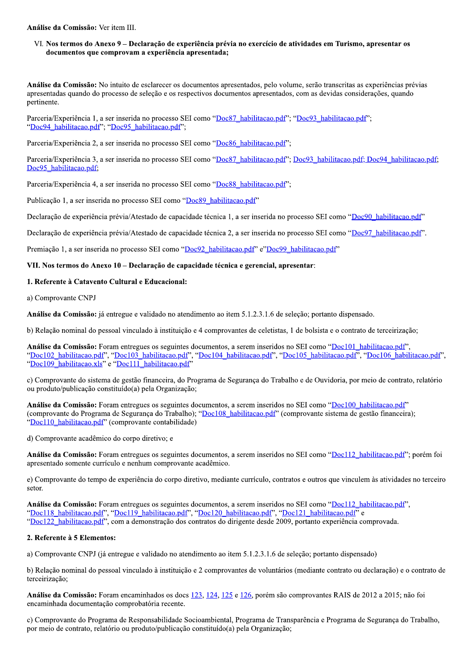Analise da Co

Análise da Comissão: Ver item III.<br>VI. Nos termos do Anexo 9 – Declaração de experiência prévia no exercício de atividades em Turismo, apresentar os<br>documentos que comprovam a experiência apresentada;<br>Análise da Comissão: **Analise da Comissão:** No intuito de esclarecer os documentos apresentados, pelo volume, serão transcritas as experiencias previas apresentadas quando do processo de seleção e os respectivos documentos apresentados, com as devidas considerações, quando pertinente.

Parceria/Experiência 1, a ser inserida no processo SEI como "Doc87 habilitacao.pdf"; "Doc93 habilitacao.pdf"; "Doc94 habilitacao.pdf"; "Doc95 habilitacao.pdf";

Parceria/Experiência 2, a ser inserida no processo SEI como "Doc86 habilitacao.pdf";

Parceria/Experiência 3, a ser inserida no processo SEI como "Doc87 habilitacao.pdf"; Doc93 habilitacao.pdf; Doc94 habilitacao.pdf; Doc95 habilitacao.pdf,

Parceria/Experiência 4, a ser inserida no processo SEI como "Doc88 habilitacao.pdf";

Publicação 1, a ser inserida no processo SEI como "Doc89 habilitacao.pdf"

Declaração de experiência prévia/Atestado de capacidade técnica 1, a ser inserida no processo SEI como "Doc90 habilitacao.pdf"

Declaração de experiência prévia/Atestado de capacidade técnica 2, a ser inserida no processo SEI como "Doc97 habilitacao.pdf".

Premiação 1, a ser inserida no processo SEI como "Doc92 habilitacao.pdf" e"Doc99 habilitacao.pdf"

## VII. Nos termos do Anexo 10 – Declaração de capacidade técnica e gerencial, apresentar:

# **1. Referente a Catavento Ci**

lise da Comissão: ja entregue e validado no atendimento ao item 5.1.2.3.1.6 de seleção; portanto dispensado.

b) Relação nominal do pessoal vinculado à instituição e 4 comprovantes de celetistas, 1 de bolsista e o contrato de terceirização;

Declaração de experiência prévia/Atestado de capacidade técnica 1<br>Declaração de experiência prévia/Atestado de capacidade técnica 2<br>Premiação 1, a ser inserida no processo SEI como "<u>Doc92\_habilita</u><br>VII. Nos termos do Anex **Analise da Comissão:** Foram entregues os seguintes documentos, a serem inseridos no SEI como "Doc101 habilitacão.pdf", "Doc102 habilitacao.pdf", "Doc103 habilitacao.pdf", "Doc104 habilitacao.pdf", "Doc105 habilitacao.pdf", "Doc106 habilitacao.pdf", "Doc109 habilitacao.xls" e "Doc111 habilitacao.pdf"

c) Comprovante do sistema de gestão financeira, do Programa de Seguranca do Trabalho e de Ouvidoria, por meio de contrato, relatório ou produto/publicação constituído(a) pela Organização;

**Analise da Comissão:** Foram entregues os seguintes documentos, a serem inseridos no SEI como "<u>Doc100 habilitação pdf</u>" (comprovante do Programa de Segurança do Trabalho); "Doc108 habilitação.pdf" (comprovante sistema de gestão financeira); "Doc110 habilitacao.pdf" (comprovante contabilidade)

d) Comprovante acadêmico do corpo diretivo; e

**Analise da Comissao:** Foram entregues os seguintes documentos, a serem inseridos no SEI como "<u>Doc112\_habilitacao.pdf</u>"; porem foi apresentado somente currículo e nenhum comprovante acadêmico.

 $\epsilon$ ) Comprovante do tempo de experiência do corpo diretivo, mediante currículo, contratos e outros que vinculem às atividades no terceiro setor.

**Analise da Comissão:** Foram entregues os seguintes documentos, a serem inseridos no SEI como "Doc112 habilitacão.pdf", "Doc118 habilitacao.pdf", "Doc119 habilitacao.pdf", "Doc120 habilitacao.pdf", "Doc121 habilitacao.pdf" e "Doc122 habilitacao.pdf", com a demonstração dos contratos do dirigente desde 2009, portanto experiência comprovada.

#### 2. Referente à 5 Elementos:

a) Comprovante CNPJ (já entregue e validado no atendimento ao item  $5.1.2.3.1.6$  de seleção; portanto dispensado)

b) Relação nominal do pessoal vinculado à instituição e 2 comprovantes de voluntários (mediante contrato ou declaração) e o contrato de terceirização;

**Analise da Comissão:** Foram encaminhados os docs <u>123, 124, 125</u> e <u>126</u>, porem são comprovantes RAIS de 2012 a 2015; não foi encaminhada documentação comprobatória recente.

c) Comprovante do Programa de Responsabilidade Socioambiental, Programa de Transparência e Programa de Segurança do Trabalho, por meio de contrato, relatório ou produto/publicação constituído(a) pela Organização;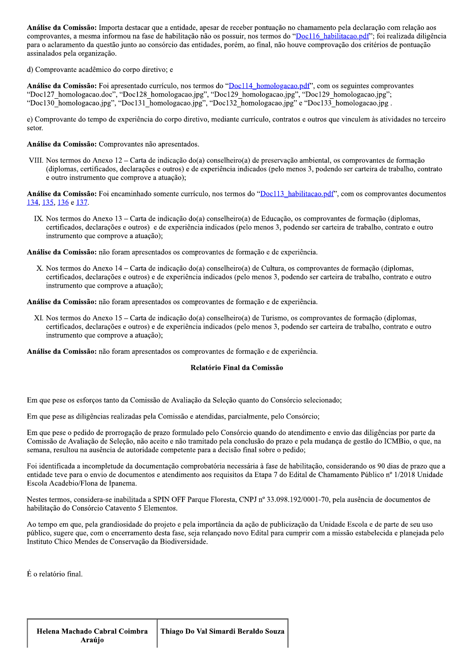Análise da Comissão: Importa destacar que a entidade, apesar de receber pontuação no chamamento pela declaração com relação aos comprovantes, a mesma informou na fase de habilitação não os possuir, nos termos do "Doc116 habilitacao pdf"; foi realizada diligência para o aclaramento da questão junto ao consórcio das entidades, porém, ao final, não houve comprovação dos critérios de pontuação assinalados pela organização.

d) Comprovante acadêmico do corpo diretivo; e

Análise da Comissão: Foi apresentado currículo, nos termos do "Docl14 homologacao.pdf", com os seguintes comprovantes "Doc127\_homologacao.doc", "Doc128\_homologacao.jpg", "Doc129\_homologacao.jpg", "Doc129\_homologacao.jpg"; "Doc130\_homologacao.jpg"; "Doc130\_homologacao.jpg"; "Doc130\_homologacao.jpg"; "Doc131\_homologacao.jpg", "Doc132\_homolo

e) Comprovante do tempo de experiência do corpo diretivo, mediante currículo, contratos e outros que vinculem às atividades no terceiro setor.

Análise da Comissão: Comprovantes não apresentados.

VIII. Nos termos do Anexo 12 – Carta de indicação do(a) conselheiro(a) de preservação ambiental, os comprovantes de formação (diplomas, certificados, declarações e outros) e de experiência indicados (pelo menos 3, podendo ser carteira de trabalho, contrato e outro instrumento que comprove a atuação);

Análise da Comissão: Foi encaminhado somente currículo, nos termos do "Doc113 habilitacao.pdf", com os comprovantes documentos 134, 135, 136 e 137.

IX. Nos termos do Anexo 13 – Carta de indicação do(a) conselheiro(a) de Educação, os comprovantes de formação (diplomas, certificados, declarações e outros) e de experiência indicados (pelo menos 3, podendo ser carteira de trabalho, contrato e outro instrumento que comprove a atuação);

Análise da Comissão: não foram apresentados os comprovantes de formação e de experiência.

X. Nos termos do Anexo 14 – Carta de indicação do(a) conselheiro(a) de Cultura, os comprovantes de formação (diplomas, certificados, declarações e outros) e de experiência indicados (pelo menos 3, podendo ser carteira de trabalho, contrato e outro instrumento que comprove a atuação);

Análise da Comissão: não foram apresentados os comprovantes de formação e de experiência.

XI. Nos termos do Anexo 15 – Carta de indicação do(a) conselheiro(a) de Turismo, os comprovantes de formação (diplomas, certificados, declarações e outros) e de experiência indicados (pelo menos 3, podendo ser carteira de trabalho, contrato e outro instrumento que comprove a atuação);

Análise da Comissão: não foram apresentados os comprovantes de formação e de experiência.

## Relatório Final da Comissão

Em que pese os esforços tanto da Comissão de Avaliação da Seleção quanto do Consórcio selecionado;

Em que pese as diligências realizadas pela Comissão e atendidas, parcialmente, pelo Consórcio;

Em que pese o pedido de prorrogação de prazo formulado pelo Consórcio quando do atendimento e envio das diligências por parte da Comissão de Avaliação de Seleção, não aceito e não tramitado pela conclusão do prazo e pela mudança de gestão do ICMBio, o que, na semana, resultou na ausência de autoridade competente para a decisão final sobre o pedido;

Foi identificada a incompletude da documentação comprobatória necessária à fase de habilitação, considerando os 90 dias de prazo que a entidade teve para o envio de documentos e atendimento aos requisitos da Etapa 7 do Edital de Chamamento Público nº 1/2018 Unidade Escola Acadebio/Flona de Ipanema.

Nestes termos, considera-se inabilitada a SPIN OFF Parque Floresta, CNPJ nº 33.098.192/0001-70, pela ausência de documentos de habilitação do Consórcio Catavento 5 Elementos.

Ao tempo em que, pela grandiosidade do projeto e pela importância da ação de publicização da Unidade Escola e de parte de seu uso público, sugere que, com o encerramento desta fase, seja relançado novo Edital para cumprir com a missão estabelecida e planejada pelo Instituto Chico Mendes de Conservação da Biodiversidade.

É o relatório final.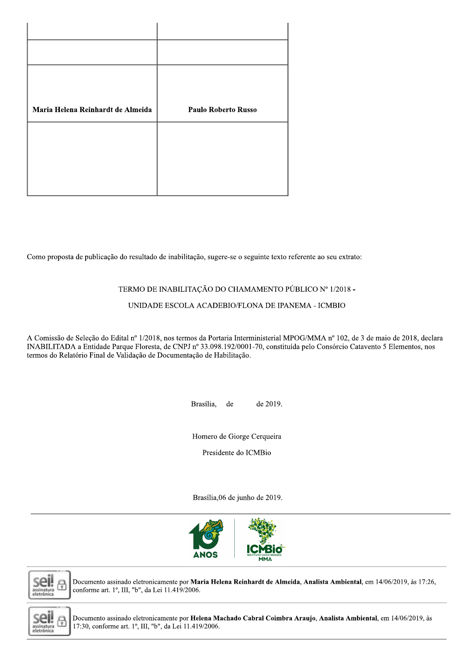| Maria Helena Reinhardt de Almeida |                            |
|-----------------------------------|----------------------------|
|                                   | <b>Paulo Roberto Russo</b> |
|                                   |                            |
|                                   |                            |
|                                   |                            |

Como proposta de publicação do resultado de inabilitação, sugere-se o seguinte texto referente ao seu extrato:

## TERMO DE INABILITAÇÃO DO CHAMAMENTO PÚBLICO Nº 1/2018 -

## UNIDADE ESCOLA ACADEBIO/FLONA DE IPANEMA - ICMBIO

A Comissão de Seleção do Edital nº 1/2018, nos termos da Portaria Interministerial MPOG/MMA nº 102, de 3 de maio de 2018, declara INABILITADA a Entidade Parque Floresta, de CNPJ nº 33.098.192/0001-70, constituída pelo Consórcio Catavento 5 Elementos, nos termos do Relatório Final de Validação de Documentação de Habilitação.

> de 2019. Brasília, de

Homero de Giorge Cerqueira

Presidente do ICMBio

Brasília,06 de junho de 2019.





Documento assinado eletronicamente por Maria Helena Reinhardt de Almeida, Analista Ambiental, em 14/06/2019, às 17:26, conforme art. 1°, III, "b", da Lei 11.419/2006.



Documento assinado eletronicamente por Helena Machado Cabral Coimbra Araujo, Analista Ambiental, em 14/06/2019, às 17:30, conforme art. 1°, III, "b", da Lei 11.419/2006.